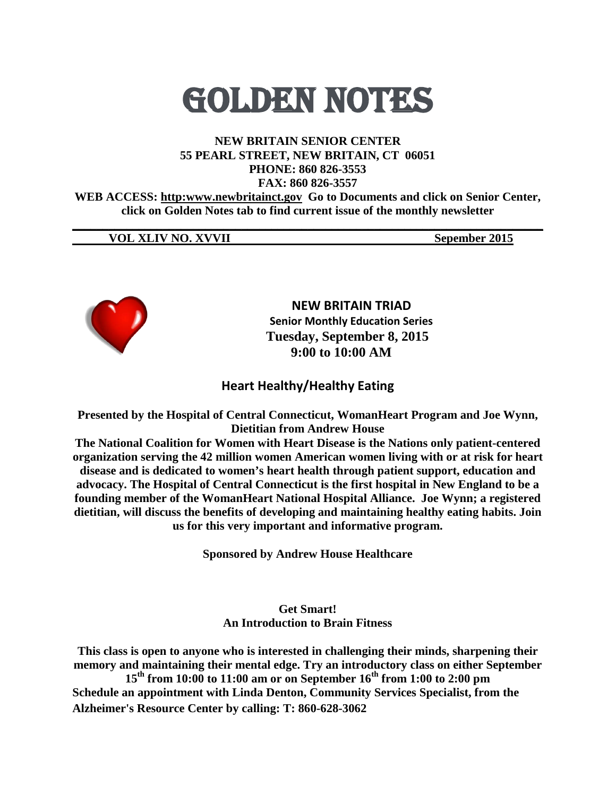# GOLDEN NOTEs

#### **NEW BRITAIN SENIOR CENTER 55 PEARL STREET, NEW BRITAIN, CT 06051 PHONE: 860 826-3553 FAX: 860 826-3557**

**WEB ACCESS: http:www.newbritainct.gov Go to Documents and click on Senior Center, click on Golden Notes tab to find current issue of the monthly newsletter** 

**\_\_\_\_\_\_\_\_\_\_\_\_\_\_\_\_\_\_\_\_\_\_\_\_\_\_\_\_\_\_\_\_\_\_\_\_\_\_\_\_\_\_\_\_\_\_\_\_\_\_\_\_\_\_\_\_\_\_\_\_\_\_\_\_\_\_\_\_\_\_\_\_\_\_\_\_\_\_**

#### **VOL XLIV NO. XVVII Sepember 2015**



**NEW BRITAIN TRIAD Senior Monthly Education Series Tuesday, September 8, 2015 9:00 to 10:00 AM**

# **Heart Healthy/Healthy Eating**

**Presented by the Hospital of Central Connecticut, WomanHeart Program and Joe Wynn, Dietitian from Andrew House**

**The National Coalition for Women with Heart Disease is the Nations only patient-centered organization serving the 42 million women American women living with or at risk for heart disease and is dedicated to women's heart health through patient support, education and advocacy. The Hospital of Central Connecticut is the first hospital in New England to be a founding member of the WomanHeart National Hospital Alliance. Joe Wynn; a registered dietitian, will discuss the benefits of developing and maintaining healthy eating habits. Join us for this very important and informative program.** 

**Sponsored by Andrew House Healthcare**

#### **Get Smart! An Introduction to Brain Fitness**

**This class is open to anyone who is interested in challenging their minds, sharpening their memory and maintaining their mental edge. Try an introductory class on either September 15th from 10:00 to 11:00 am or on September 16th from 1:00 to 2:00 pm Schedule an appointment with Linda Denton, Community Services Specialist, from the Alzheimer's Resource Center by calling: T: 860-628-3062**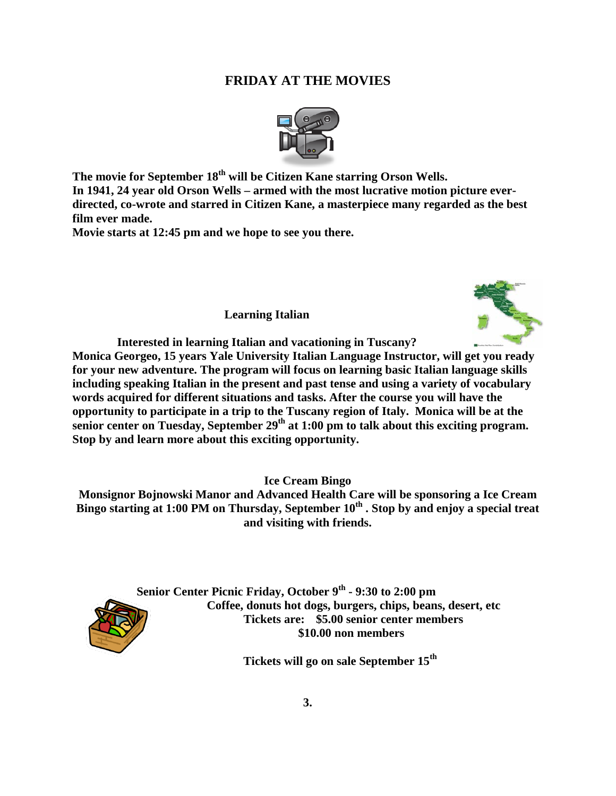# **FRIDAY AT THE MOVIES**



**The movie for September 18th will be Citizen Kane starring Orson Wells. In 1941, 24 year old Orson Wells – armed with the most lucrative motion picture everdirected, co-wrote and starred in Citizen Kane, a masterpiece many regarded as the best film ever made.**

**Movie starts at 12:45 pm and we hope to see you there.** 

**Learning Italian** 



**Interested in learning Italian and vacationing in Tuscany?** 

**Monica Georgeo, 15 years Yale University Italian Language Instructor, will get you ready for your new adventure. The program will focus on learning basic Italian language skills including speaking Italian in the present and past tense and using a variety of vocabulary words acquired for different situations and tasks. After the course you will have the opportunity to participate in a trip to the Tuscany region of Italy. Monica will be at the senior center on Tuesday, September 29th at 1:00 pm to talk about this exciting program. Stop by and learn more about this exciting opportunity.** 

**Ice Cream Bingo**

**Monsignor Bojnowski Manor and Advanced Health Care will be sponsoring a Ice Cream**  Bingo starting at 1:00 PM on Thursday, September 10<sup>th</sup> **. Stop by and enjoy a special treat and visiting with friends.** 



**Senior Center Picnic Friday, October 9th - 9:30 to 2:00 pm Coffee, donuts hot dogs, burgers, chips, beans, desert, etc Tickets are: \$5.00 senior center members \$10.00 non members**

**Tickets will go on sale September 15th**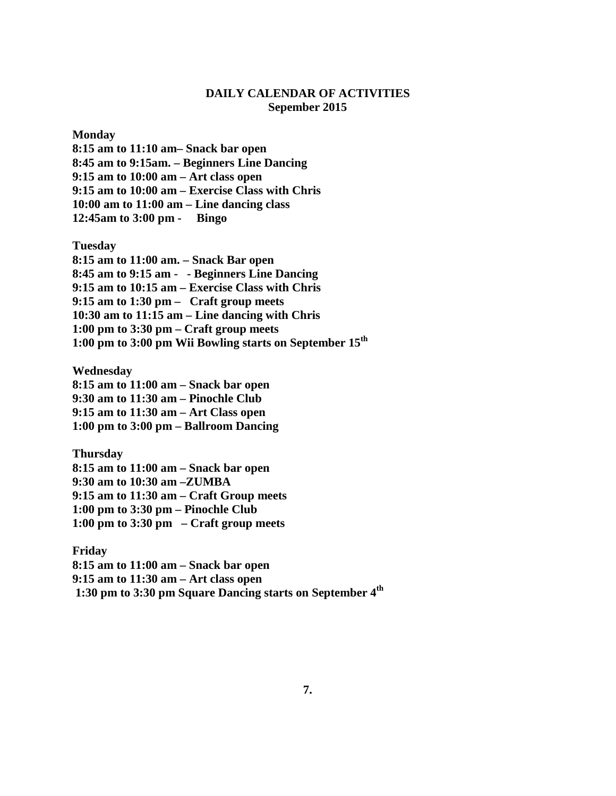#### **DAILY CALENDAR OF ACTIVITIES Sepember 2015**

**Monday**

**8:15 am to 11:10 am– Snack bar open 8:45 am to 9:15am. – Beginners Line Dancing 9:15 am to 10:00 am – Art class open 9:15 am to 10:00 am – Exercise Class with Chris 10:00 am to 11:00 am – Line dancing class 12:45am to 3:00 pm - Bingo**

**Tuesday**

**8:15 am to 11:00 am. – Snack Bar open 8:45 am to 9:15 am - - Beginners Line Dancing 9:15 am to 10:15 am – Exercise Class with Chris 9:15 am to 1:30 pm – Craft group meets 10:30 am to 11:15 am – Line dancing with Chris 1:00 pm to 3:30 pm – Craft group meets 1:00 pm to 3:00 pm Wii Bowling starts on September 15th**

**Wednesday**

**8:15 am to 11:00 am – Snack bar open 9:30 am to 11:30 am – Pinochle Club 9:15 am to 11:30 am – Art Class open 1:00 pm to 3:00 pm – Ballroom Dancing**

**Thursday 8:15 am to 11:00 am – Snack bar open 9:30 am to 10:30 am –ZUMBA 9:15 am to 11:30 am – Craft Group meets 1:00 pm to 3:30 pm – Pinochle Club 1:00 pm to 3:30 pm – Craft group meets**

**Friday 8:15 am to 11:00 am – Snack bar open 9:15 am to 11:30 am – Art class open 1:30 pm to 3:30 pm Square Dancing starts on September 4th**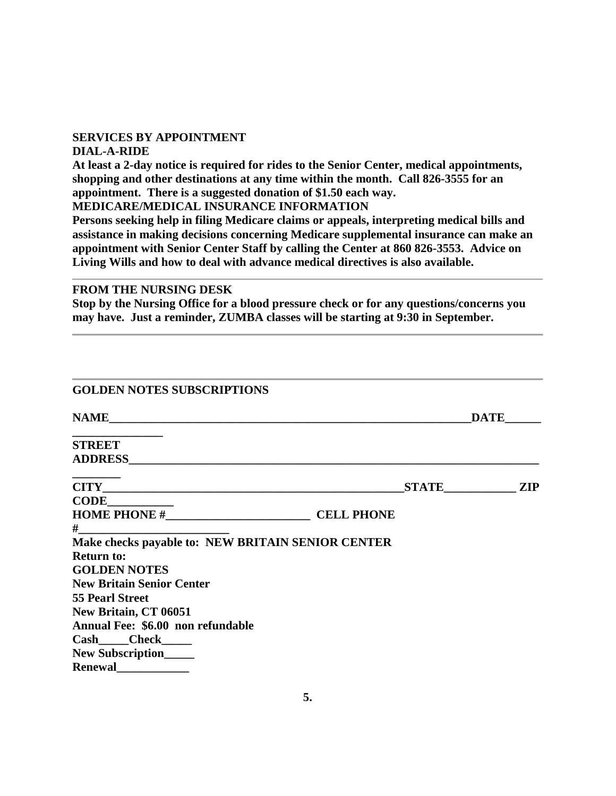#### **SERVICES BY APPOINTMENT**

#### **DIAL-A-RIDE**

**At least a 2-day notice is required for rides to the Senior Center, medical appointments, shopping and other destinations at any time within the month. Call 826-3555 for an appointment. There is a suggested donation of \$1.50 each way.**

**MEDICARE/MEDICAL INSURANCE INFORMATION**

**Persons seeking help in filing Medicare claims or appeals, interpreting medical bills and assistance in making decisions concerning Medicare supplemental insurance can make an appointment with Senior Center Staff by calling the Center at 860 826-3553. Advice on Living Wills and how to deal with advance medical directives is also available.**

#### **FROM THE NURSING DESK**

**Stop by the Nursing Office for a blood pressure check or for any questions/concerns you may have. Just a reminder, ZUMBA classes will be starting at 9:30 in September.**

| <b>GOLDEN NOTES SUBSCRIPTIONS</b>                 |  |             |
|---------------------------------------------------|--|-------------|
|                                                   |  | <b>DATE</b> |
| <b>STREET</b>                                     |  |             |
|                                                   |  |             |
|                                                   |  | STATE ZIP   |
| CODE                                              |  |             |
| HOME PHONE # CELL PHONE                           |  |             |
| $\#$ and $\#$ and $\#$ and $\#$ and $\#$          |  |             |
| Make checks payable to: NEW BRITAIN SENIOR CENTER |  |             |
| <b>Return to:</b>                                 |  |             |
| <b>GOLDEN NOTES</b>                               |  |             |
| <b>New Britain Senior Center</b>                  |  |             |
| <b>55 Pearl Street</b>                            |  |             |
| New Britain, CT 06051                             |  |             |
| Annual Fee: \$6.00 non refundable                 |  |             |
| Cash____Check_____                                |  |             |
| New Subscription_____                             |  |             |
| Renewal                                           |  |             |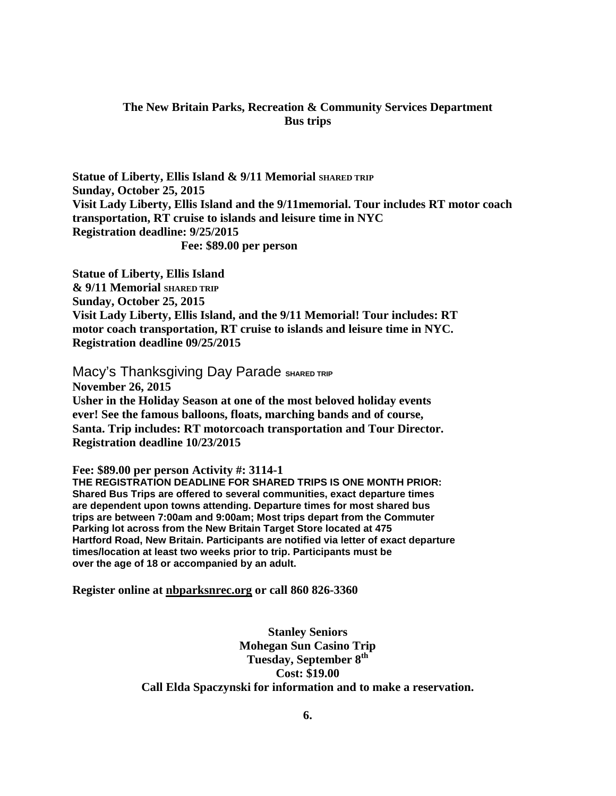#### **The New Britain Parks, Recreation & Community Services Department Bus trips**

**Statue of Liberty, Ellis Island & 9/11 Memorial SHARED TRIP Sunday, October 25, 2015 Visit Lady Liberty, Ellis Island and the 9/11memorial. Tour includes RT motor coach transportation, RT cruise to islands and leisure time in NYC Registration deadline: 9/25/2015 Fee: \$89.00 per person**

**Statue of Liberty, Ellis Island & 9/11 Memorial SHARED TRIP Sunday, October 25, 2015 Visit Lady Liberty, Ellis Island, and the 9/11 Memorial! Tour includes: RT motor coach transportation, RT cruise to islands and leisure time in NYC. Registration deadline 09/25/2015**

**Macy's Thanksgiving Day Parade SHARED TRIP November 26, 2015 Usher in the Holiday Season at one of the most beloved holiday events ever! See the famous balloons, floats, marching bands and of course, Santa. Trip includes: RT motorcoach transportation and Tour Director. Registration deadline 10/23/2015**

**Fee: \$89.00 per person Activity #: 3114-1 THE REGISTRATION DEADLINE FOR SHARED TRIPS IS ONE MONTH PRIOR: Shared Bus Trips are offered to several communities, exact departure times are dependent upon towns attending. Departure times for most shared bus trips are between 7:00am and 9:00am; Most trips depart from the Commuter Parking lot across from the New Britain Target Store located at 475 Hartford Road, New Britain. Participants are notified via letter of exact departure times/location at least two weeks prior to trip. Participants must be over the age of 18 or accompanied by an adult.**

**Register online at nbparksnrec.org or call 860 826-3360**

**Stanley Seniors Mohegan Sun Casino Trip Tuesday, September 8<sup>th</sup> Cost: \$19.00 Call Elda Spaczynski for information and to make a reservation.**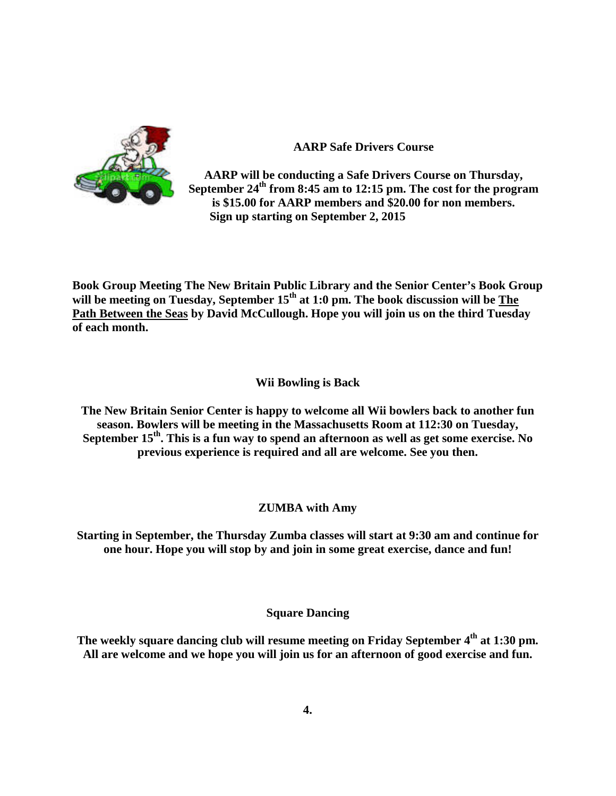

**AARP Safe Drivers Course**

**AARP will be conducting a Safe Drivers Course on Thursday, September 24th from 8:45 am to 12:15 pm. The cost for the program is \$15.00 for AARP members and \$20.00 for non members. Sign up starting on September 2, 2015**

**Book Group Meeting The New Britain Public Library and the Senior Center's Book Group**  will be meeting on Tuesday, September 15<sup>th</sup> at 1:0 pm. The book discussion will be The **Path Between the Seas by David McCullough. Hope you will join us on the third Tuesday of each month.** 

#### **Wii Bowling is Back**

**The New Britain Senior Center is happy to welcome all Wii bowlers back to another fun season. Bowlers will be meeting in the Massachusetts Room at 112:30 on Tuesday,**  September 15<sup>th</sup>. This is a fun way to spend an afternoon as well as get some exercise. No **previous experience is required and all are welcome. See you then.**

## **ZUMBA with Amy**

**Starting in September, the Thursday Zumba classes will start at 9:30 am and continue for one hour. Hope you will stop by and join in some great exercise, dance and fun!**

## **Square Dancing**

**The weekly square dancing club will resume meeting on Friday September 4th at 1:30 pm. All are welcome and we hope you will join us for an afternoon of good exercise and fun.**